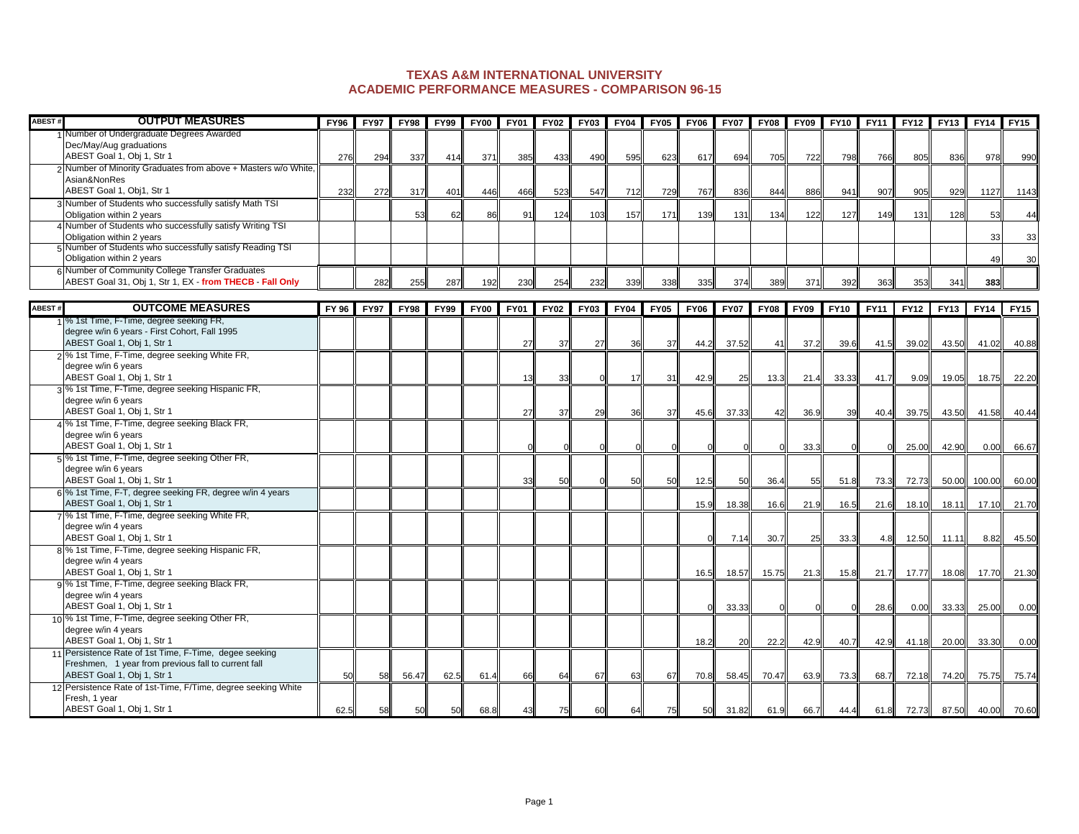## **ACADEMIC PERFORMANCE MEASURES - COMPARISON 96-15 TEXAS A&M INTERNATIONAL UNIVERSITY**

| ABEST# | <b>OUTPUT MEASURES</b>                                                                 | <b>FY96</b> | <b>FY97</b> | <b>FY98</b> | <b>FY99</b> | <b>FY00</b> | <b>FY01</b> | <b>FY02</b> | <b>FY03</b> | <b>FY04</b> | <b>FY05</b> | <b>FY06</b> | <b>FY07</b> | <b>FY08</b> | <b>FY09</b> | <b>FY10</b> | <b>FY11</b> | <b>FY12</b> | <b>FY13</b> | <b>FY14</b> | <b>FY15</b> |
|--------|----------------------------------------------------------------------------------------|-------------|-------------|-------------|-------------|-------------|-------------|-------------|-------------|-------------|-------------|-------------|-------------|-------------|-------------|-------------|-------------|-------------|-------------|-------------|-------------|
|        | Number of Undergraduate Degrees Awarded                                                |             |             |             |             |             |             |             |             |             |             |             |             |             |             |             |             |             |             |             |             |
|        | Dec/May/Aug graduations<br>ABEST Goal 1, Obj 1, Str 1                                  |             |             |             |             |             |             |             |             |             |             |             |             |             |             |             |             |             |             |             |             |
|        | 2 Number of Minority Graduates from above + Masters w/o White,                         | 276         | 294         | 337         | 414         | 371         | 385         | 433         | 490         | 595         | 623         | 617         | 694         | 705         | 722         | 798         | 766         | 805         | 836         | 978         | 990         |
|        | Asian&NonRes                                                                           |             |             |             |             |             |             |             |             |             |             |             |             |             |             |             |             |             |             |             |             |
|        | ABEST Goal 1, Obj1, Str 1                                                              | 232         | 272         | 317         | 401         | 446         | 466         | 523         | 547         | 712         | 729         | 767         | 836         | 844         | 886         | 941         | 907         | 905         | 929         | 1127        | 1143        |
|        | 3 Number of Students who successfully satisfy Math TSI                                 |             |             |             |             |             |             |             |             |             |             |             |             |             |             |             |             |             |             |             |             |
|        | Obligation within 2 years                                                              |             |             | 53          | 62          | 86          | 91          | 124         | 103         | 157         | 171         | 139         | 131         | 134         | 122         | 127         | 149         | 131         | 128         | 53          | 44          |
|        | 4 Number of Students who successfully satisfy Writing TSI                              |             |             |             |             |             |             |             |             |             |             |             |             |             |             |             |             |             |             |             |             |
|        | Obligation within 2 years<br>5 Number of Students who successfully satisfy Reading TSI |             |             |             |             |             |             |             |             |             |             |             |             |             |             |             |             |             |             | 33          | 33          |
|        | Obligation within 2 years                                                              |             |             |             |             |             |             |             |             |             |             |             |             |             |             |             |             |             |             | 49          | 30          |
|        | 6 Number of Community College Transfer Graduates                                       |             |             |             |             |             |             |             |             |             |             |             |             |             |             |             |             |             |             |             |             |
|        | ABEST Goal 31, Obj 1, Str 1, EX - from THECB - Fall Only                               |             | 282         | 255         | 287         | 192         | 230         | 254         | 232         | 339         | 338         | 335         | 374         | 389         | 371         | 392         | 363         | 353         | 341         | 383         |             |
|        |                                                                                        |             |             |             |             |             |             |             |             |             |             |             |             |             |             |             |             |             |             |             |             |
| ABEST# | <b>OUTCOME MEASURES</b>                                                                | FY 96       | <b>FY97</b> | <b>FY98</b> | <b>FY99</b> | <b>FY00</b> | <b>FY01</b> | <b>FY02</b> | <b>FY03</b> | <b>FY04</b> | <b>FY05</b> | <b>FY06</b> | <b>FY07</b> | <b>FY08</b> | <b>FY09</b> | <b>FY10</b> | FY11        | <b>FY12</b> | <b>FY13</b> | <b>FY14</b> | <b>FY15</b> |
|        | 1 <sup>1</sup> % 1st Time, F-Time, degree seeking FR,                                  |             |             |             |             |             |             |             |             |             |             |             |             |             |             |             |             |             |             |             |             |
|        | degree w/in 6 years - First Cohort, Fall 1995<br>ABEST Goal 1, Obj 1, Str 1            |             |             |             |             |             | 27          | 37          |             | 36          | 37          |             | 37.52       | 41          | 37.2        |             |             |             |             |             |             |
|        | 2 <sup>9</sup> % 1st Time, F-Time, degree seeking White FR,                            |             |             |             |             |             |             |             | 27          |             |             | 44.2        |             |             |             | 39.6        | 41.5        | 39.02       | 43.50       | 41.02       | 40.88       |
|        | degree w/in 6 years                                                                    |             |             |             |             |             |             |             |             |             |             |             |             |             |             |             |             |             |             |             |             |
|        | ABEST Goal 1, Obj 1, Str 1                                                             |             |             |             |             |             | 13          | 33          |             | 17          | 31          | 42.9        | 25          | 13.3        | 21.4        | 33.33       | 41.7        | 9.09        | 19.05       | 18.75       | 22.20       |
|        | 3 <sup>1</sup> % 1st Time, F-Time, degree seeking Hispanic FR,                         |             |             |             |             |             |             |             |             |             |             |             |             |             |             |             |             |             |             |             |             |
|        | degree w/in 6 years                                                                    |             |             |             |             |             |             |             |             |             |             |             |             |             |             |             |             |             |             |             |             |
|        | ABEST Goal 1, Obj 1, Str 1                                                             |             |             |             |             |             | 27          | 37          | 29          | 36          | 37          | 45.6        | 37.33       | 42          | 36.9        | 39          | 40.4        | 39.75       | 43.50       | 41.58       | 40.44       |
|        | 4 % 1st Time, F-Time, degree seeking Black FR,<br>degree w/in 6 years                  |             |             |             |             |             |             |             |             |             |             |             |             |             |             |             |             |             |             |             |             |
|        | ABEST Goal 1, Obj 1, Str 1                                                             |             |             |             |             |             |             |             |             |             |             |             |             |             | 33.3        |             |             | 25.00       | 42.90       | 0.00        | 66.67       |
|        | 5 <sup>%</sup> 1st Time, F-Time, degree seeking Other FR,                              |             |             |             |             |             |             |             |             |             |             |             |             |             |             |             |             |             |             |             |             |
|        | degree w/in 6 years                                                                    |             |             |             |             |             |             |             |             |             |             |             |             |             |             |             |             |             |             |             |             |
|        | ABEST Goal 1, Obj 1, Str 1                                                             |             |             |             |             |             | 33          | 50          |             | 50          | 50          | 12.5        | 50          | 36.4        | 55          | 51.8        | 73.3        | 72.73       | 50.00       | 100.00      | 60.00       |
|        | 6 <sup>9</sup> % 1st Time, F-T, degree seeking FR, degree w/in 4 years                 |             |             |             |             |             |             |             |             |             |             |             |             |             |             |             |             |             |             |             |             |
|        | ABEST Goal 1, Obj 1, Str 1                                                             |             |             |             |             |             |             |             |             |             |             | 15.9        | 18.38       | 16.6        | 21.9        | 16.5        | 21.6        | 18.10       | 18.11       | 17.10       | 21.70       |
|        | 7 % 1st Time, F-Time, degree seeking White FR,<br>degree w/in 4 years                  |             |             |             |             |             |             |             |             |             |             |             |             |             |             |             |             |             |             |             |             |
|        | ABEST Goal 1, Obj 1, Str 1                                                             |             |             |             |             |             |             |             |             |             |             |             | 7.14        | 30.7        | 25          | 33.3        | 4.8         | 12.50       | 11.11       | 8.82        | 45.50       |
|        | 8% 1st Time, F-Time, degree seeking Hispanic FR,                                       |             |             |             |             |             |             |             |             |             |             |             |             |             |             |             |             |             |             |             |             |
|        | degree w/in 4 years                                                                    |             |             |             |             |             |             |             |             |             |             |             |             |             |             |             |             |             |             |             |             |
|        | ABEST Goal 1, Obj 1, Str 1                                                             |             |             |             |             |             |             |             |             |             |             | 16.5        | 18.57       | 15.75       | 21.3        | 15.8        | 21.7        | 17.77       | 18.08       | 17.70       | 21.30       |
|        | 9% 1st Time, F-Time, degree seeking Black FR,                                          |             |             |             |             |             |             |             |             |             |             |             |             |             |             |             |             |             |             |             |             |
|        | degree w/in 4 years<br>ABEST Goal 1, Obj 1, Str 1                                      |             |             |             |             |             |             |             |             |             |             |             |             |             |             |             |             |             |             |             |             |
|        | 10 <sup>%</sup> 1st Time, F-Time, degree seeking Other FR,                             |             |             |             |             |             |             |             |             |             |             |             | 33.33       |             |             |             | 28.6        | 0.00        | 33.33       | 25.00       | 0.00        |
|        | degree w/in 4 years                                                                    |             |             |             |             |             |             |             |             |             |             |             |             |             |             |             |             |             |             |             |             |
|        | ABEST Goal 1, Obj 1, Str 1                                                             |             |             |             |             |             |             |             |             |             |             | 18.2        | 20          | 22.2        | 42.9        | 40.7        | 42.9        | 41.18       | 20.00       | 33.30       | 0.00        |
|        | 11 Persistence Rate of 1st Time, F-Time, degee seeking                                 |             |             |             |             |             |             |             |             |             |             |             |             |             |             |             |             |             |             |             |             |
|        | Freshmen, 1 year from previous fall to current fall                                    |             |             |             |             |             |             |             |             |             |             |             |             |             |             |             |             |             |             |             |             |
|        | ABEST Goal 1, Obj 1, Str 1                                                             | 50          | 58          | 56.47       | 62.5        | 61.4        | 66          | 64          | 67          | 63          | 67          | 70.8        | 58.45       | 70.47       | 63.9        | 73.3        | 68.7        | 72.18       | 74.20       | 75.75       | 75.74       |
|        | 12 Persistence Rate of 1st-Time, F/Time, degree seeking White<br>Fresh, 1 year         |             |             |             |             |             |             |             |             |             |             |             |             |             |             |             |             |             |             |             |             |
|        | ABEST Goal 1, Obj 1, Str 1                                                             | 62.5        | 58          | 50          | 50          | 68.8        | 43          | 75          | 60          | 64          | 75          | 50          | 31.82       | 61.9        | 66.7        | 44.4        | 61.8        | 72.73       | 87.50       | 40.00       | 70.60       |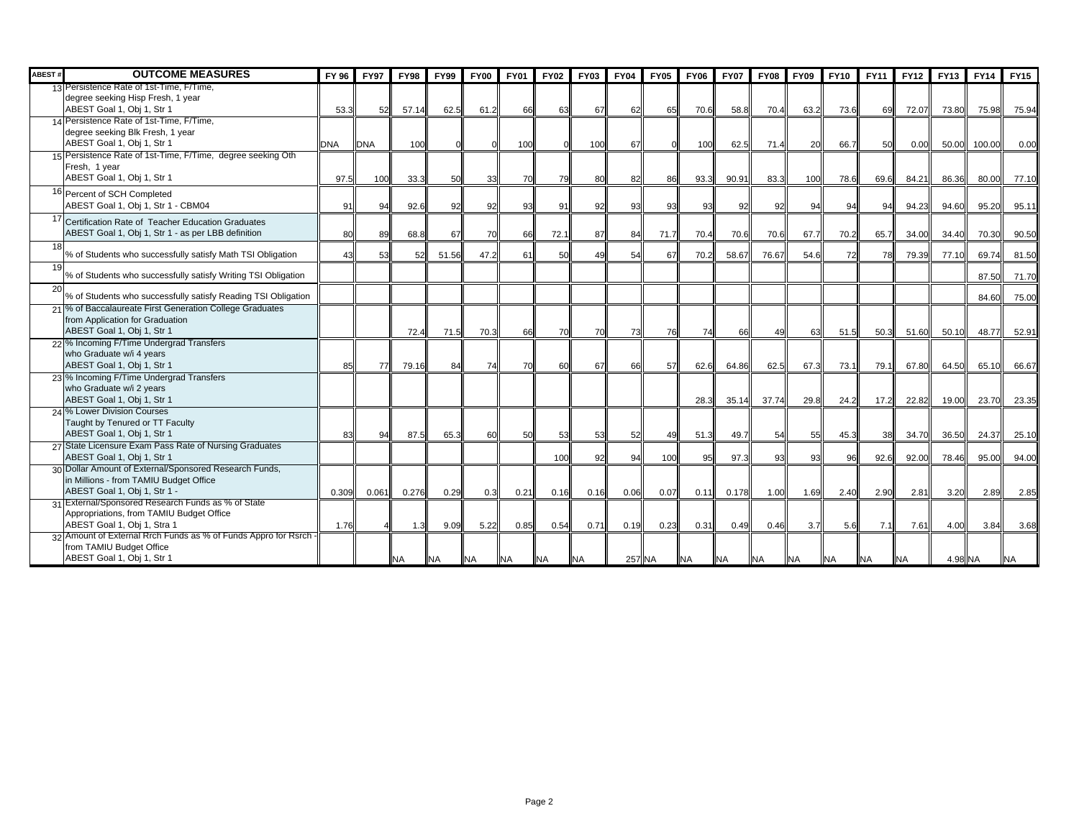| ABEST# | <b>OUTCOME MEASURES</b>                                                                                                          | FY 96      | <b>FY97</b> | <b>FY98</b> | <b>FY99</b> | <b>FY00</b> | <b>FY01</b> | <b>FY02</b> | <b>FY03</b> | <b>FY04</b> | <b>FY05</b> | <b>FY06</b> | <b>FY07</b> | <b>FY08</b> | <b>FY09</b> | <b>FY10</b> | <b>FY11</b> | <b>FY12</b> | <b>FY13</b> | <b>FY14</b> | <b>FY15</b> |
|--------|----------------------------------------------------------------------------------------------------------------------------------|------------|-------------|-------------|-------------|-------------|-------------|-------------|-------------|-------------|-------------|-------------|-------------|-------------|-------------|-------------|-------------|-------------|-------------|-------------|-------------|
|        | 13 Persistence Rate of 1st-Time, F/Time,<br>degree seeking Hisp Fresh, 1 year<br>ABEST Goal 1, Obj 1, Str 1                      | 53.3       | 52          | 57.14       | 62.5        | 61.2        | 66          | 63          | 67          | 62          | 65          | 70.6        | 58.8        | 70.4        | 63.2        | 73.6        | 69          | 72.07       | 73.80       | 75.98       | 75.94       |
|        | 14 Persistence Rate of 1st-Time, F/Time.<br>degree seeking Blk Fresh, 1 year<br>ABEST Goal 1, Obj 1, Str 1                       | <b>DNA</b> | <b>DNA</b>  | 100         |             |             | 100         |             | 100         | 67          |             | 100         | 62.5        | 71.4        | 20          | 66.7        | 50          | 0.00        | 50.00       | 100.00      | 0.00        |
|        | 15 Persistence Rate of 1st-Time, F/Time, degree seeking Oth<br>Fresh, 1 year<br>ABEST Goal 1, Obj 1, Str 1                       | 97.5       | 100         | 33.3        | 50          | 33          | 70          | 79          | 80          | 82          | 86          | 93.3        | 90.91       | 83.3        | 100         | 78.6        | 69.6        | 84.21       | 86.36       | 80.00       | 77.10       |
|        | 16 Percent of SCH Completed<br>ABEST Goal 1, Obj 1, Str 1 - CBM04                                                                | 91         | 94          | 92.6        | 92          | 92          | 93          | 91          | 92          | 93          | 93          | 93          | 92          | 92          | 94          | 94          | 94          | 94.23       | 94.60       | 95.20       | 95.11       |
|        | 17 Certification Rate of Teacher Education Graduates<br>ABEST Goal 1, Obj 1, Str 1 - as per LBB definition                       | 80         | 89          | 68.8        | 67          | 70          | 66          | 72.1        | 87          | 84          | 71.7        | 70.4        | 70.6        | 70.6        | 67.7        | 70.2        | 65.7        | 34.00       | 34.40       | 70.30       | 90.50       |
| 18     | % of Students who successfully satisfy Math TSI Obligation                                                                       | 43         | 53          | 52          | 51.56       | 47.2        | 61          | 50          | 49          | 54          | 67          | 70.2        | 58.67       | 76.67       | 54.6        | <b>72</b>   | 78          | 79.39       | 77.10       | 69.74       | 81.50       |
| 19     | % of Students who successfully satisfy Writing TSI Obligation                                                                    |            |             |             |             |             |             |             |             |             |             |             |             |             |             |             |             |             |             | 87.50       | 71.70       |
| 20     | % of Students who successfully satisfy Reading TSI Obligation                                                                    |            |             |             |             |             |             |             |             |             |             |             |             |             |             |             |             |             |             | 84.60       | 75.00       |
|        | 21 % of Baccalaureate First Generation College Graduates<br>from Application for Graduation<br>ABEST Goal 1, Obj 1, Str 1        |            |             | 72.4        | 71.5        | 70.3        | 66          | 70          | 70          | 73          | 76          | 74          | 66          | 49          | 63          | 51.5        | 50.3        | 51.60       | 50.10       | 48.77       | 52.91       |
|        | 22 % Incoming F/Time Undergrad Transfers<br>who Graduate w/i 4 years<br>ABEST Goal 1, Obj 1, Str 1                               | 85         | 77          | 79.16       | 84          | 74          | 70          | 60          | 67          | 66          | 57          | 62.6        | 64.86       | 62.5        | 67.3        | 73.1        | 79.1        | 67.80       | 64.50       | 65.10       | 66.67       |
|        | 23 % Incoming F/Time Undergrad Transfers<br>who Graduate w/i 2 years<br>ABEST Goal 1, Obj 1, Str 1                               |            |             |             |             |             |             |             |             |             |             | 28.3        | 35.14       | 37.74       | 29.8        | 24.2        | 17.2        | 22.82       | 19.00       | 23.70       | 23.35       |
|        | 24 % Lower Division Courses<br>Taught by Tenured or TT Faculty<br>ABEST Goal 1, Obj 1, Str 1                                     | 83         | 94          | 87.5        | 65.3        | 60          | 50          | 53          | 53          | 52          | 49          | 51.3        | 49.7        | 54          | 55          | 45.3        | 38          | 34.70       | 36.50       | 24.37       | 25.10       |
|        | 27 State Licensure Exam Pass Rate of Nursing Graduates<br>ABEST Goal 1, Obj 1, Str 1                                             |            |             |             |             |             |             | 100         | 92          | 94          | 100         | 95          | 97.3        | 93          | 93          | 96          | 92.6        | 92.00       | 78.46       | 95.00       | 94.00       |
|        | 30 Dollar Amount of External/Sponsored Research Funds,<br>in Millions - from TAMIU Budget Office<br>ABEST Goal 1, Obj 1, Str 1 - | 0.309      | 0.061       | 0.276       | 0.29        | 0.3         | 0.21        | 0.16        | 0.16        | 0.06        | 0.07        | 0.11        | 0.178       | 1.00        | 1.69        | 2.40        | 2.90        | 2.81        | 3.20        | 2.89        | 2.85        |
|        | 31 External/Sponsored Research Funds as % of State<br>Appropriations, from TAMIU Budget Office<br>ABEST Goal 1, Obj 1, Stra 1    | 1.76       |             | 1.3         | 9.09        | 5.22        | 0.85        | 0.54        | 0.71        | 0.19        | 0.23        | 0.31        | 0.49        | 0.46        | 3.7         | 5.6         | 7.1         | 7.61        | 4.00        | 3.84        | 3.68        |
|        | 32 Amount of External Rrch Funds as % of Funds Appro for Rsrch -<br>from TAMIU Budget Office<br>ABEST Goal 1, Obj 1, Str 1       |            |             | <b>NA</b>   | <b>NA</b>   | <b>NA</b>   | <b>NA</b>   | <b>NA</b>   | <b>NA</b>   | 257 NA      |             | <b>NA</b>   | <b>NA</b>   | <b>NA</b>   | <b>NA</b>   | <b>NA</b>   | <b>NA</b>   | <b>NA</b>   | 4.98 NA     |             | <b>INA</b>  |